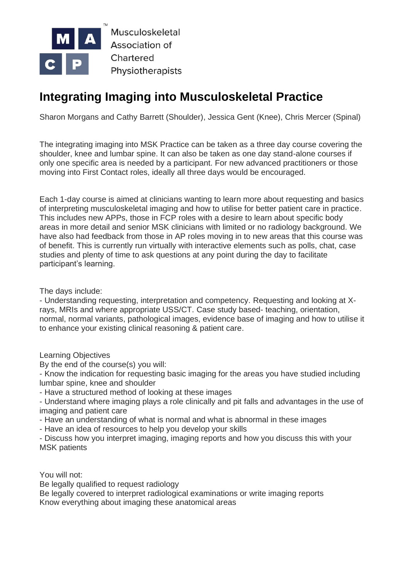

Musculoskeletal **Association of** Chartered Physiotherapists

# **Integrating Imaging into Musculoskeletal Practice**

Sharon Morgans and Cathy Barrett (Shoulder), Jessica Gent (Knee), Chris Mercer (Spinal)

The integrating imaging into MSK Practice can be taken as a three day course covering the shoulder, knee and lumbar spine. It can also be taken as one day stand-alone courses if only one specific area is needed by a participant. For new advanced practitioners or those moving into First Contact roles, ideally all three days would be encouraged.

Each 1-day course is aimed at clinicians wanting to learn more about requesting and basics of interpreting musculoskeletal imaging and how to utilise for better patient care in practice. This includes new APPs, those in FCP roles with a desire to learn about specific body areas in more detail and senior MSK clinicians with limited or no radiology background. We have also had feedback from those in AP roles moving in to new areas that this course was of benefit. This is currently run virtually with interactive elements such as polls, chat, case studies and plenty of time to ask questions at any point during the day to facilitate participant's learning.

The days include:

- Understanding requesting, interpretation and competency. Requesting and looking at Xrays, MRIs and where appropriate USS/CT. Case study based- teaching, orientation, normal, normal variants, pathological images, evidence base of imaging and how to utilise it to enhance your existing clinical reasoning & patient care.

Learning Objectives

By the end of the course(s) you will:

- Know the indication for requesting basic imaging for the areas you have studied including lumbar spine, knee and shoulder

- Have a structured method of looking at these images

- Understand where imaging plays a role clinically and pit falls and advantages in the use of imaging and patient care

- Have an understanding of what is normal and what is abnormal in these images

- Have an idea of resources to help you develop your skills

- Discuss how you interpret imaging, imaging reports and how you discuss this with your MSK patients

You will not:

Be legally qualified to request radiology

Be legally covered to interpret radiological examinations or write imaging reports Know everything about imaging these anatomical areas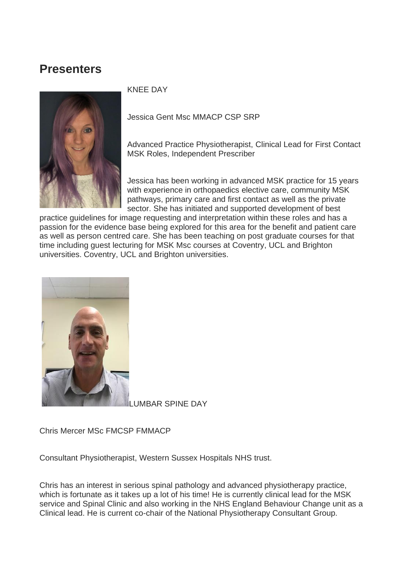# **Presenters**



# KNEE DAY

Jessica Gent Msc MMACP CSP SRP

Advanced Practice Physiotherapist, Clinical Lead for First Contact MSK Roles, Independent Prescriber

Jessica has been working in advanced MSK practice for 15 years with experience in orthopaedics elective care, community MSK pathways, primary care and first contact as well as the private sector. She has initiated and supported development of best

practice guidelines for image requesting and interpretation within these roles and has a passion for the evidence base being explored for this area for the benefit and patient care as well as person centred care. She has been teaching on post graduate courses for that time including guest lecturing for MSK Msc courses at Coventry, UCL and Brighton universities. Coventry, UCL and Brighton universities.



**JMBAR SPINE DAY** 

Chris Mercer MSc FMCSP FMMACP

Consultant Physiotherapist, Western Sussex Hospitals NHS trust.

Chris has an interest in serious spinal pathology and advanced physiotherapy practice, which is fortunate as it takes up a lot of his time! He is currently clinical lead for the MSK service and Spinal Clinic and also working in the NHS England Behaviour Change unit as a Clinical lead. He is current co-chair of the National Physiotherapy Consultant Group.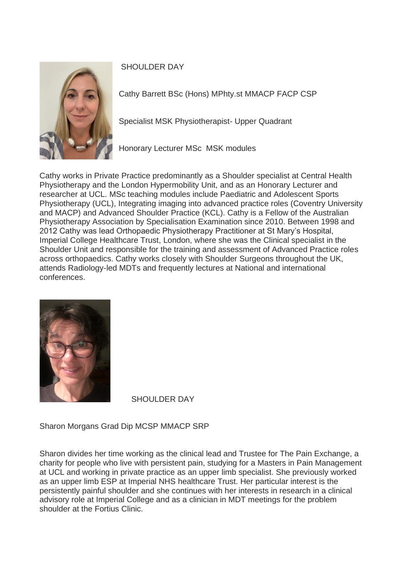

SHOULDER DAY

Cathy Barrett BSc (Hons) MPhty.st MMACP FACP CSP

Specialist MSK Physiotherapist- Upper Quadrant

Honorary Lecturer MSc MSK modules

Cathy works in Private Practice predominantly as a Shoulder specialist at Central Health Physiotherapy and the London Hypermobility Unit, and as an Honorary Lecturer and researcher at UCL. MSc teaching modules include Paediatric and Adolescent Sports Physiotherapy (UCL), Integrating imaging into advanced practice roles (Coventry University and MACP) and Advanced Shoulder Practice (KCL). Cathy is a Fellow of the Australian Physiotherapy Association by Specialisation Examination since 2010. Between 1998 and 2012 Cathy was lead Orthopaedic Physiotherapy Practitioner at St Mary's Hospital, Imperial College Healthcare Trust, London, where she was the Clinical specialist in the Shoulder Unit and responsible for the training and assessment of Advanced Practice roles across orthopaedics. Cathy works closely with Shoulder Surgeons throughout the UK, attends Radiology-led MDTs and frequently lectures at National and international conferences.



SHOULDER DAY

Sharon Morgans Grad Dip MCSP MMACP SRP

Sharon divides her time working as the clinical lead and Trustee for The Pain Exchange, a charity for people who live with persistent pain, studying for a Masters in Pain Management at UCL and working in private practice as an upper limb specialist. She previously worked as an upper limb ESP at Imperial NHS healthcare Trust. Her particular interest is the persistently painful shoulder and she continues with her interests in research in a clinical advisory role at Imperial College and as a clinician in MDT meetings for the problem shoulder at the Fortius Clinic.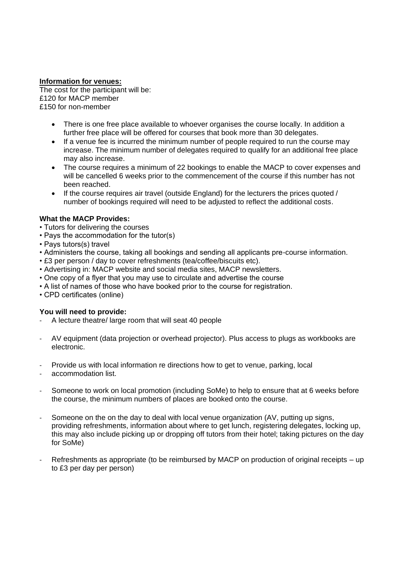#### **Information for venues:**

The cost for the participant will be: £120 for MACP member £150 for non-member

- There is one free place available to whoever organises the course locally. In addition a further free place will be offered for courses that book more than 30 delegates.
- If a venue fee is incurred the minimum number of people required to run the course may increase. The minimum number of delegates required to qualify for an additional free place may also increase.
- The course requires a minimum of 22 bookings to enable the MACP to cover expenses and will be cancelled 6 weeks prior to the commencement of the course if this number has not been reached.
- If the course requires air travel (outside England) for the lecturers the prices quoted / number of bookings required will need to be adjusted to reflect the additional costs.

#### **What the MACP Provides:**

- Tutors for delivering the courses
- Pays the accommodation for the tutor(s)
- Pays tutors(s) travel
- Administers the course, taking all bookings and sending all applicants pre-course information.
- £3 per person / day to cover refreshments (tea/coffee/biscuits etc).
- Advertising in: MACP website and social media sites, MACP newsletters.
- One copy of a flyer that you may use to circulate and advertise the course
- A list of names of those who have booked prior to the course for registration.
- CPD certificates (online)

#### **You will need to provide:**

- A lecture theatre/ large room that will seat 40 people
- AV equipment (data projection or overhead projector). Plus access to plugs as workbooks are electronic.
- Provide us with local information re directions how to get to venue, parking, local
- accommodation list.
- Someone to work on local promotion (including SoMe) to help to ensure that at 6 weeks before the course, the minimum numbers of places are booked onto the course.
- Someone on the on the day to deal with local venue organization (AV, putting up signs, providing refreshments, information about where to get lunch, registering delegates, locking up, this may also include picking up or dropping off tutors from their hotel; taking pictures on the day for SoMe)
- Refreshments as appropriate (to be reimbursed by MACP on production of original receipts up to £3 per day per person)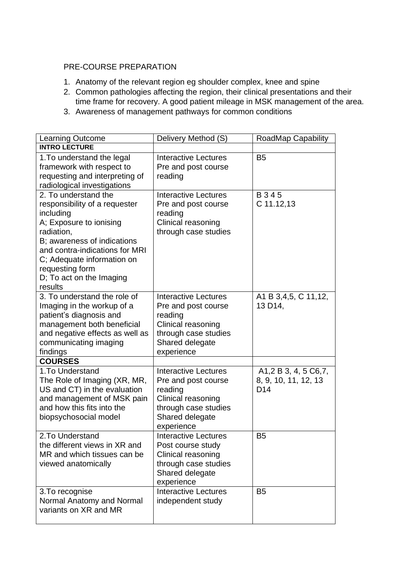### PRE-COURSE PREPARATION

- 1. Anatomy of the relevant region eg shoulder complex, knee and spine
- 2. Common pathologies affecting the region, their clinical presentations and their time frame for recovery. A good patient mileage in MSK management of the area.
- 3. Awareness of management pathways for common conditions

| <b>Learning Outcome</b>                                                                                                                                                                                                                                              | Delivery Method (S)                                                                                                                          | <b>RoadMap Capability</b>                                                                               |
|----------------------------------------------------------------------------------------------------------------------------------------------------------------------------------------------------------------------------------------------------------------------|----------------------------------------------------------------------------------------------------------------------------------------------|---------------------------------------------------------------------------------------------------------|
| <b>INTRO LECTURE</b>                                                                                                                                                                                                                                                 |                                                                                                                                              |                                                                                                         |
| 1. To understand the legal<br>framework with respect to<br>requesting and interpreting of<br>radiological investigations                                                                                                                                             | <b>Interactive Lectures</b><br>Pre and post course<br>reading                                                                                | B <sub>5</sub>                                                                                          |
| 2. To understand the<br>responsibility of a requester<br>including<br>A; Exposure to ionising<br>radiation,<br>B; awareness of indications<br>and contra-indications for MRI<br>C; Adequate information on<br>requesting form<br>D; To act on the Imaging<br>results | <b>Interactive Lectures</b><br>Pre and post course<br>reading<br>Clinical reasoning<br>through case studies                                  | B 3 4 5<br>C 11.12,13                                                                                   |
| 3. To understand the role of<br>Imaging in the workup of a<br>patient's diagnosis and<br>management both beneficial<br>and negative effects as well as<br>communicating imaging<br>findings                                                                          | <b>Interactive Lectures</b><br>Pre and post course<br>reading<br>Clinical reasoning<br>through case studies<br>Shared delegate<br>experience | A1 B 3,4,5, C 11,12,<br>13 D14,                                                                         |
| <b>COURSES</b>                                                                                                                                                                                                                                                       |                                                                                                                                              |                                                                                                         |
| 1. To Understand<br>The Role of Imaging (XR, MR,<br>US and CT) in the evaluation<br>and management of MSK pain<br>and how this fits into the<br>biopsychosocial model                                                                                                | <b>Interactive Lectures</b><br>Pre and post course<br>reading<br>Clinical reasoning<br>through case studies<br>Shared delegate<br>experience | A <sub>1</sub> , 2 B <sub>3</sub> , 4, 5 C <sub>6</sub> , 7,<br>8, 9, 10, 11, 12, 13<br>D <sub>14</sub> |
| 2.To Understand<br>the different views in XR and<br>MR and which tissues can be<br>viewed anatomically                                                                                                                                                               | Interactive Lectures<br>Post course study<br>Clinical reasoning<br>through case studies<br>Shared delegate<br>experience                     | B5                                                                                                      |
| 3. To recognise<br>Normal Anatomy and Normal<br>variants on XR and MR                                                                                                                                                                                                | <b>Interactive Lectures</b><br>independent study                                                                                             | B <sub>5</sub>                                                                                          |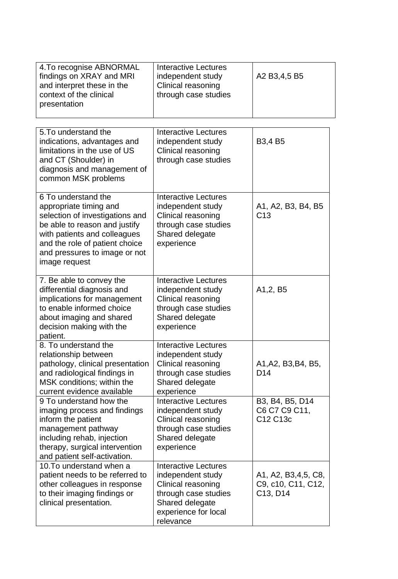| 4. To recognise ABNORMAL<br>findings on XRAY and MRI<br>and interpret these in the<br>context of the clinical<br>presentation                                                                                                         | <b>Interactive Lectures</b><br>independent study<br>Clinical reasoning<br>through case studies                                                         | A2 B3,4,5 B5                                          |
|---------------------------------------------------------------------------------------------------------------------------------------------------------------------------------------------------------------------------------------|--------------------------------------------------------------------------------------------------------------------------------------------------------|-------------------------------------------------------|
| 5. To understand the<br>indications, advantages and<br>limitations in the use of US<br>and CT (Shoulder) in<br>diagnosis and management of<br>common MSK problems                                                                     | Interactive Lectures<br>independent study<br>Clinical reasoning<br>through case studies                                                                | B <sub>3</sub> ,4 B <sub>5</sub>                      |
| 6 To understand the<br>appropriate timing and<br>selection of investigations and<br>be able to reason and justify<br>with patients and colleagues<br>and the role of patient choice<br>and pressures to image or not<br>image request | Interactive Lectures<br>independent study<br>Clinical reasoning<br>through case studies<br>Shared delegate<br>experience                               | A1, A2, B3, B4, B5<br>C <sub>13</sub>                 |
| 7. Be able to convey the<br>differential diagnosis and<br>implications for management<br>to enable informed choice<br>about imaging and shared<br>decision making with the<br>patient.                                                | Interactive Lectures<br>independent study<br>Clinical reasoning<br>through case studies<br>Shared delegate<br>experience                               | A <sub>1</sub> , 2, B <sub>5</sub>                    |
| 8. To understand the<br>relationship between<br>pathology, clinical presentation<br>and radiological findings in<br>MSK conditions; within the<br>current evidence available                                                          | Interactive Lectures<br>independent study<br>Clinical reasoning<br>through case studies<br>Shared delegate<br>experience                               | A1, A2, B3, B4, B5,<br>D <sub>14</sub>                |
| 9 To understand how the<br>imaging process and findings<br>inform the patient<br>management pathway<br>including rehab, injection<br>therapy, surgical intervention<br>and patient self-activation.                                   | <b>Interactive Lectures</b><br>independent study<br>Clinical reasoning<br>through case studies<br>Shared delegate<br>experience                        | B3, B4, B5, D14<br>C6 C7 C9 C11,<br>C12 C13c          |
| 10. To understand when a<br>patient needs to be referred to<br>other colleagues in response<br>to their imaging findings or<br>clinical presentation.                                                                                 | <b>Interactive Lectures</b><br>independent study<br>Clinical reasoning<br>through case studies<br>Shared delegate<br>experience for local<br>relevance | A1, A2, B3,4,5, C8,<br>C9, c10, C11, C12,<br>C13, D14 |